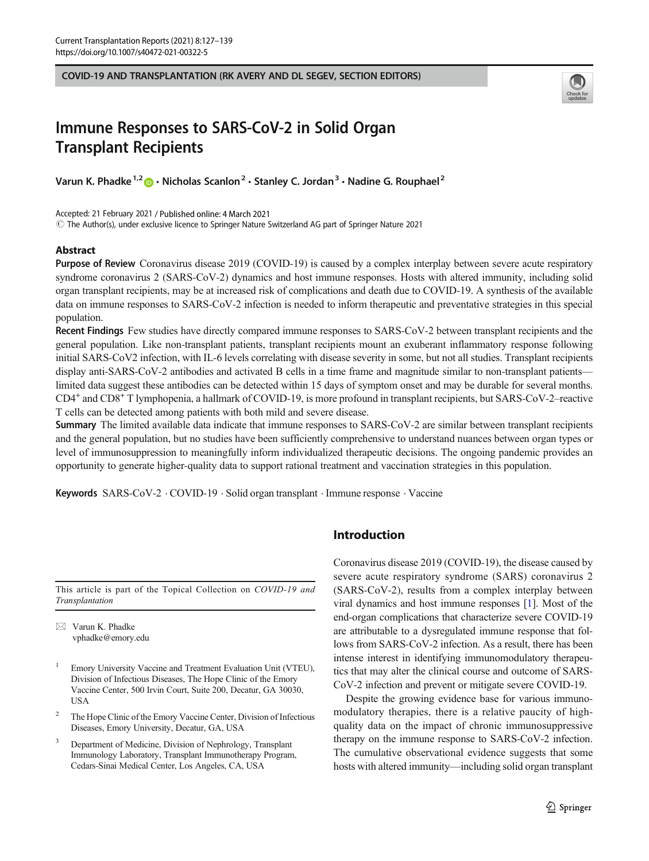COVID-19 AND TRANSPLANTATION (RK AVERY AND DL SEGEV, SECTION EDITORS)



# Immune Responses to SARS-CoV-2 in Solid Organ Transplant Recipients

Varun K. Phadke<sup>1,2</sup>  $\bullet$  · Nicholas Scanlon<sup>2</sup> · Stanley C. Jordan<sup>3</sup> · Nadine G. Rouphael<sup>2</sup>

Accepted: 21 February 2021 / Published online: 4 March 2021

 $\copyright$  The Author(s), under exclusive licence to Springer Nature Switzerland AG part of Springer Nature 2021

## **Abstract**

Purpose of Review Coronavirus disease 2019 (COVID-19) is caused by a complex interplay between severe acute respiratory syndrome coronavirus 2 (SARS-CoV-2) dynamics and host immune responses. Hosts with altered immunity, including solid organ transplant recipients, may be at increased risk of complications and death due to COVID-19. A synthesis of the available data on immune responses to SARS-CoV-2 infection is needed to inform therapeutic and preventative strategies in this special population.

Recent Findings Few studies have directly compared immune responses to SARS-CoV-2 between transplant recipients and the general population. Like non-transplant patients, transplant recipients mount an exuberant inflammatory response following initial SARS-CoV2 infection, with IL-6 levels correlating with disease severity in some, but not all studies. Transplant recipients display anti-SARS-CoV-2 antibodies and activated B cells in a time frame and magnitude similar to non-transplant patients limited data suggest these antibodies can be detected within 15 days of symptom onset and may be durable for several months. CD4+ and CD8+ T lymphopenia, a hallmark of COVID-19, is more profound in transplant recipients, but SARS-CoV-2–reactive T cells can be detected among patients with both mild and severe disease.

Summary The limited available data indicate that immune responses to SARS-CoV-2 are similar between transplant recipients and the general population, but no studies have been sufficiently comprehensive to understand nuances between organ types or level of immunosuppression to meaningfully inform individualized therapeutic decisions. The ongoing pandemic provides an opportunity to generate higher-quality data to support rational treatment and vaccination strategies in this population.

Keywords SARS-CoV-2 . COVID-19 . Solid organ transplant . Immune response . Vaccine

This article is part of the Topical Collection on COVID-19 and Transplantation

 $\boxtimes$  Varun K. Phadke [vphadke@emory.edu](mailto:vphadke@emory.edu)

- <sup>1</sup> Emory University Vaccine and Treatment Evaluation Unit (VTEU), Division of Infectious Diseases, The Hope Clinic of the Emory Vaccine Center, 500 Irvin Court, Suite 200, Decatur, GA 30030, USA
- <sup>2</sup> The Hope Clinic of the Emory Vaccine Center, Division of Infectious Diseases, Emory University, Decatur, GA, USA
- Department of Medicine, Division of Nephrology, Transplant Immunology Laboratory, Transplant Immunotherapy Program, Cedars-Sinai Medical Center, Los Angeles, CA, USA

# Introduction

Coronavirus disease 2019 (COVID-19), the disease caused by severe acute respiratory syndrome (SARS) coronavirus 2 (SARS-CoV-2), results from a complex interplay between viral dynamics and host immune responses [[1\]](#page-8-0). Most of the end-organ complications that characterize severe COVID-19 are attributable to a dysregulated immune response that follows from SARS-CoV-2 infection. As a result, there has been intense interest in identifying immunomodulatory therapeutics that may alter the clinical course and outcome of SARS-CoV-2 infection and prevent or mitigate severe COVID-19.

Despite the growing evidence base for various immunomodulatory therapies, there is a relative paucity of highquality data on the impact of chronic immunosuppressive therapy on the immune response to SARS-CoV-2 infection. The cumulative observational evidence suggests that some hosts with altered immunity—including solid organ transplant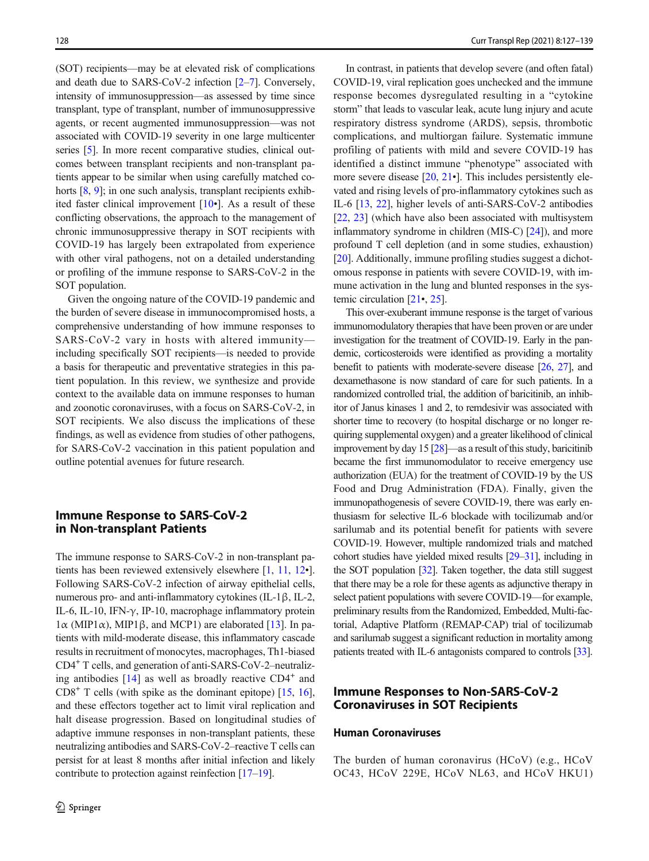(SOT) recipients—may be at elevated risk of complications and death due to SARS-CoV-2 infection [\[2](#page-8-0)–[7\]](#page-8-0). Conversely, intensity of immunosuppression—as assessed by time since transplant, type of transplant, number of immunosuppressive agents, or recent augmented immunosuppression—was not associated with COVID-19 severity in one large multicenter series [[5\]](#page-8-0). In more recent comparative studies, clinical outcomes between transplant recipients and non-transplant patients appear to be similar when using carefully matched cohorts  $[8, 9]$  $[8, 9]$  $[8, 9]$  $[8, 9]$ ; in one such analysis, transplant recipients exhibited faster clinical improvement  $[10\bullet]$  $[10\bullet]$ . As a result of these conflicting observations, the approach to the management of chronic immunosuppressive therapy in SOT recipients with COVID-19 has largely been extrapolated from experience with other viral pathogens, not on a detailed understanding or profiling of the immune response to SARS-CoV-2 in the SOT population.

Given the ongoing nature of the COVID-19 pandemic and the burden of severe disease in immunocompromised hosts, a comprehensive understanding of how immune responses to SARS-CoV-2 vary in hosts with altered immunity including specifically SOT recipients—is needed to provide a basis for therapeutic and preventative strategies in this patient population. In this review, we synthesize and provide context to the available data on immune responses to human and zoonotic coronaviruses, with a focus on SARS-CoV-2, in SOT recipients. We also discuss the implications of these findings, as well as evidence from studies of other pathogens, for SARS-CoV-2 vaccination in this patient population and outline potential avenues for future research.

# Immune Response to SARS-CoV-2 in Non-transplant Patients

The immune response to SARS-CoV-2 in non-transplant patients has been reviewed extensively elsewhere [\[1](#page-8-0), [11,](#page-9-0) [12](#page-9-0)•]. Following SARS-CoV-2 infection of airway epithelial cells, numerous pro- and anti-inflammatory cytokines (IL-1β, IL-2, IL-6, IL-10, IFN-γ, IP-10, macrophage inflammatory protein  $1\alpha$  (MIP1 $\alpha$ ), MIP1 $\beta$ , and MCP1) are elaborated [[13\]](#page-9-0). In patients with mild-moderate disease, this inflammatory cascade results in recruitment of monocytes, macrophages, Th1-biased CD4+ T cells, and generation of anti-SARS-CoV-2–neutralizing antibodies  $[14]$  $[14]$  as well as broadly reactive  $CD4^+$  and  $CD8<sup>+</sup>$  T cells (with spike as the dominant epitope) [\[15](#page-9-0), [16\]](#page-9-0), and these effectors together act to limit viral replication and halt disease progression. Based on longitudinal studies of adaptive immune responses in non-transplant patients, these neutralizing antibodies and SARS-CoV-2–reactive T cells can persist for at least 8 months after initial infection and likely contribute to protection against reinfection [\[17](#page-9-0)–[19](#page-9-0)].

In contrast, in patients that develop severe (and often fatal) COVID-19, viral replication goes unchecked and the immune response becomes dysregulated resulting in a "cytokine storm" that leads to vascular leak, acute lung injury and acute respiratory distress syndrome (ARDS), sepsis, thrombotic complications, and multiorgan failure. Systematic immune profiling of patients with mild and severe COVID-19 has identified a distinct immune "phenotype" associated with more severe disease  $[20, 21 \bullet]$  $[20, 21 \bullet]$  $[20, 21 \bullet]$  $[20, 21 \bullet]$  $[20, 21 \bullet]$ . This includes persistently elevated and rising levels of pro-inflammatory cytokines such as IL-6 [[13,](#page-9-0) [22](#page-9-0)], higher levels of anti-SARS-CoV-2 antibodies [\[22](#page-9-0), [23\]](#page-9-0) (which have also been associated with multisystem inflammatory syndrome in children (MIS-C) [\[24\]](#page-9-0)), and more profound T cell depletion (and in some studies, exhaustion) [\[20](#page-9-0)]. Additionally, immune profiling studies suggest a dichotomous response in patients with severe COVID-19, with immune activation in the lung and blunted responses in the systemic circulation  $[21, 25]$  $[21, 25]$  $[21, 25]$ .

This over-exuberant immune response is the target of various immunomodulatory therapies that have been proven or are under investigation for the treatment of COVID-19. Early in the pandemic, corticosteroids were identified as providing a mortality benefit to patients with moderate-severe disease [[26](#page-9-0), [27\]](#page-9-0), and dexamethasone is now standard of care for such patients. In a randomized controlled trial, the addition of baricitinib, an inhibitor of Janus kinases 1 and 2, to remdesivir was associated with shorter time to recovery (to hospital discharge or no longer requiring supplemental oxygen) and a greater likelihood of clinical improvement by day 15 [\[28\]](#page-9-0)—as a result of this study, baricitinib became the first immunomodulator to receive emergency use authorization (EUA) for the treatment of COVID-19 by the US Food and Drug Administration (FDA). Finally, given the immunopathogenesis of severe COVID-19, there was early enthusiasm for selective IL-6 blockade with tocilizumab and/or sarilumab and its potential benefit for patients with severe COVID-19. However, multiple randomized trials and matched cohort studies have yielded mixed results [\[29](#page-9-0)–[31\]](#page-9-0), including in the SOT population [\[32\]](#page-9-0). Taken together, the data still suggest that there may be a role for these agents as adjunctive therapy in select patient populations with severe COVID-19—for example, preliminary results from the Randomized, Embedded, Multi-factorial, Adaptive Platform (REMAP-CAP) trial of tocilizumab and sarilumab suggest a significant reduction in mortality among patients treated with IL-6 antagonists compared to controls [\[33\]](#page-9-0).

# Immune Responses to Non-SARS-CoV-2 Coronaviruses in SOT Recipients

## Human Coronaviruses

The burden of human coronavirus (HCoV) (e.g., HCoV OC43, HCoV 229E, HCoV NL63, and HCoV HKU1)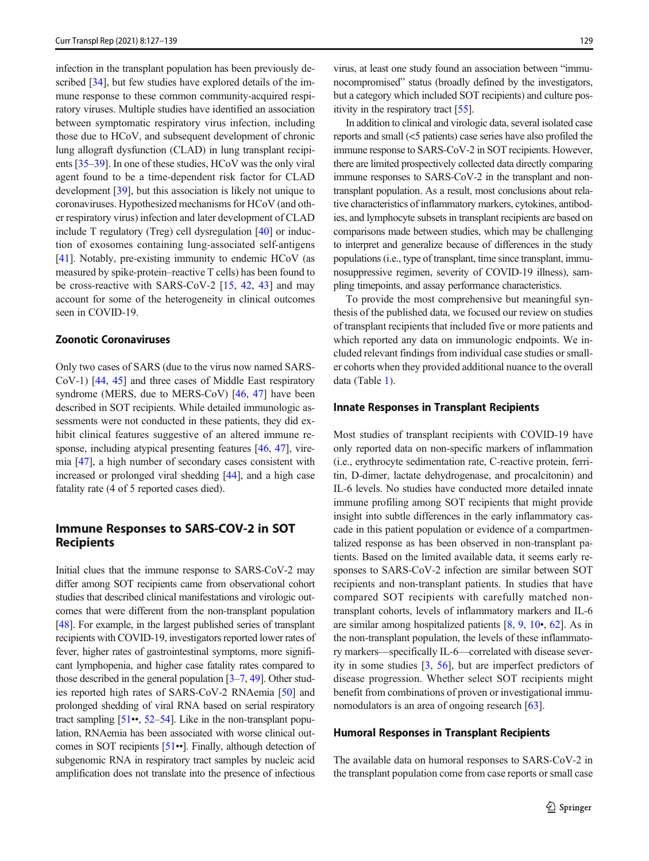infection in the transplant population has been previously de-scribed [[34\]](#page-9-0), but few studies have explored details of the immune response to these common community-acquired respiratory viruses. Multiple studies have identified an association between symptomatic respiratory virus infection, including those due to HCoV, and subsequent development of chronic lung allograft dysfunction (CLAD) in lung transplant recipients [[35](#page-9-0)–[39](#page-9-0)]. In one of these studies, HCoV was the only viral agent found to be a time-dependent risk factor for CLAD development [\[39\]](#page-9-0), but this association is likely not unique to coronaviruses. Hypothesized mechanisms for HCoV (and other respiratory virus) infection and later development of CLAD include T regulatory (Treg) cell dysregulation [\[40](#page-10-0)] or induction of exosomes containing lung-associated self-antigens [\[41\]](#page-10-0). Notably, pre-existing immunity to endemic HCoV (as measured by spike-protein–reactive T cells) has been found to be cross-reactive with SARS-CoV-2 [[15,](#page-9-0) [42](#page-10-0), [43](#page-10-0)] and may account for some of the heterogeneity in clinical outcomes seen in COVID-19.

## Zoonotic Coronaviruses

Only two cases of SARS (due to the virus now named SARS-CoV-1) [\[44](#page-10-0), [45\]](#page-10-0) and three cases of Middle East respiratory syndrome (MERS, due to MERS-CoV) [\[46,](#page-10-0) [47\]](#page-10-0) have been described in SOT recipients. While detailed immunologic assessments were not conducted in these patients, they did exhibit clinical features suggestive of an altered immune re-sponse, including atypical presenting features [\[46,](#page-10-0) [47](#page-10-0)], viremia [\[47\]](#page-10-0), a high number of secondary cases consistent with increased or prolonged viral shedding [[44\]](#page-10-0), and a high case fatality rate (4 of 5 reported cases died).

# Immune Responses to SARS-COV-2 in SOT Recipients

Initial clues that the immune response to SARS-CoV-2 may differ among SOT recipients came from observational cohort studies that described clinical manifestations and virologic outcomes that were different from the non-transplant population [\[48\]](#page-10-0). For example, in the largest published series of transplant recipients with COVID-19, investigators reported lower rates of fever, higher rates of gastrointestinal symptoms, more significant lymphopenia, and higher case fatality rates compared to those described in the general population [\[3](#page-8-0)–[7,](#page-8-0) [49\]](#page-10-0). Other studies reported high rates of SARS-CoV-2 RNAemia [[50](#page-10-0)] and prolonged shedding of viral RNA based on serial respiratory tract sampling  $[51\bullet, 52-54]$  $[51\bullet, 52-54]$  $[51\bullet, 52-54]$  $[51\bullet, 52-54]$  $[51\bullet, 52-54]$  $[51\bullet, 52-54]$ . Like in the non-transplant population, RNAemia has been associated with worse clinical outcomes in SOT recipients [[51](#page-10-0)••]. Finally, although detection of subgenomic RNA in respiratory tract samples by nucleic acid amplification does not translate into the presence of infectious

virus, at least one study found an association between "immunocompromised" status (broadly defined by the investigators, but a category which included SOT recipients) and culture positivity in the respiratory tract [\[55\]](#page-10-0).

In addition to clinical and virologic data, several isolated case reports and small (<5 patients) case series have also profiled the immune response to SARS-CoV-2 in SOT recipients. However, there are limited prospectively collected data directly comparing immune responses to SARS-CoV-2 in the transplant and nontransplant population. As a result, most conclusions about relative characteristics of inflammatory markers, cytokines, antibodies, and lymphocyte subsets in transplant recipients are based on comparisons made between studies, which may be challenging to interpret and generalize because of differences in the study populations (i.e., type of transplant, time since transplant, immunosuppressive regimen, severity of COVID-19 illness), sampling timepoints, and assay performance characteristics.

To provide the most comprehensive but meaningful synthesis of the published data, we focused our review on studies of transplant recipients that included five or more patients and which reported any data on immunologic endpoints. We included relevant findings from individual case studies or smaller cohorts when they provided additional nuance to the overall data (Table [1\)](#page-3-0).

#### Innate Responses in Transplant Recipients

Most studies of transplant recipients with COVID-19 have only reported data on non-specific markers of inflammation (i.e., erythrocyte sedimentation rate, C-reactive protein, ferritin, D-dimer, lactate dehydrogenase, and procalcitonin) and IL-6 levels. No studies have conducted more detailed innate immune profiling among SOT recipients that might provide insight into subtle differences in the early inflammatory cascade in this patient population or evidence of a compartmentalized response as has been observed in non-transplant patients. Based on the limited available data, it seems early responses to SARS-CoV-2 infection are similar between SOT recipients and non-transplant patients. In studies that have compared SOT recipients with carefully matched nontransplant cohorts, levels of inflammatory markers and IL-6 are similar among hospitalized patients [\[8](#page-8-0), [9,](#page-8-0) [10](#page-8-0)•, [62](#page-10-0)]. As in the non-transplant population, the levels of these inflammatory markers—specifically IL-6—correlated with disease severity in some studies [\[3,](#page-8-0) [56](#page-10-0)], but are imperfect predictors of disease progression. Whether select SOT recipients might benefit from combinations of proven or investigational immu-nomodulators is an area of ongoing research [[63\]](#page-10-0).

#### Humoral Responses in Transplant Recipients

The available data on humoral responses to SARS-CoV-2 in the transplant population come from case reports or small case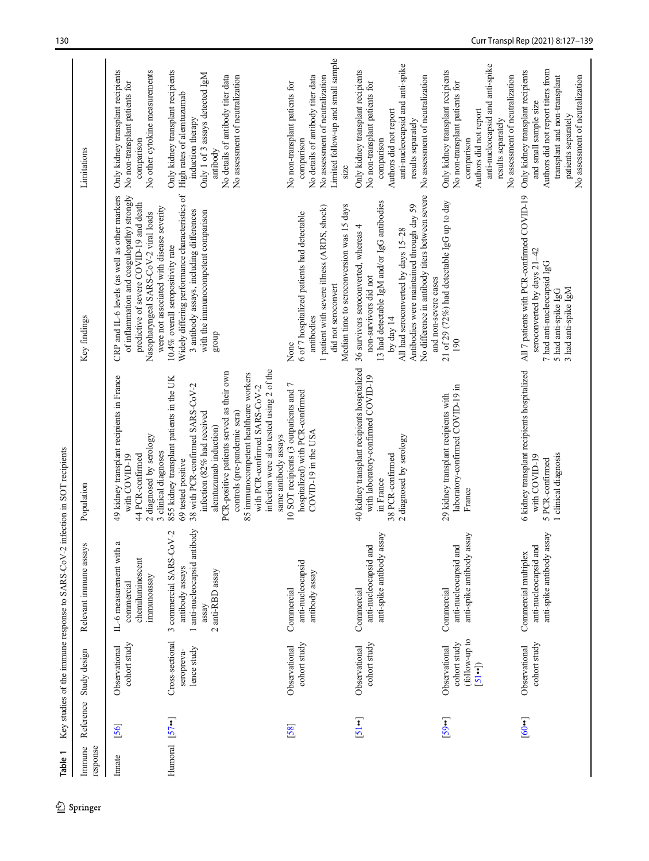<span id="page-3-0"></span>

| Immune<br>response   |                    | Reference Study design                                          | Relevant immune assays                                                                                  | Population                                                                                                                                                                                                                                                                                                                                                                              | Key findings                                                                                                                                                                                                                                                                              | Limitations                                                                                                                                                                                                |
|----------------------|--------------------|-----------------------------------------------------------------|---------------------------------------------------------------------------------------------------------|-----------------------------------------------------------------------------------------------------------------------------------------------------------------------------------------------------------------------------------------------------------------------------------------------------------------------------------------------------------------------------------------|-------------------------------------------------------------------------------------------------------------------------------------------------------------------------------------------------------------------------------------------------------------------------------------------|------------------------------------------------------------------------------------------------------------------------------------------------------------------------------------------------------------|
| Innate               | [56]               | cohort study<br>Observational                                   | IL-6 measurement with a<br>chemiluminescent<br>immunoassay<br>commercial                                | 49 kidney transplant recipients in France<br>2 diagnosed by serology<br>3 clinical diagnoses<br>44 PCR-confirmed<br>with COVID-19                                                                                                                                                                                                                                                       | of inflammation and coagulopathy) strongly<br>CRP and IL-6 levels (as well as other markers<br>predictive of severe COVID-19 and death<br>were not associated with disease severity<br>Nasopharyngeal SARS-CoV-2 viral loads                                                              | Only kidney transplant recipients<br>No other cytokine measurements<br>No non-transplant patients for<br>comparison                                                                                        |
| Humoral $[57\cdots]$ |                    | Cross-sectional<br>lence study<br>seropreva-                    | 1 anti-nucleocapsid antibody<br>3 commercial SARS-CoV-2<br>antibody assays<br>2 anti-RBD assay<br>assay | infection were also tested using 2 of the<br>PCR-positive patients served as their own<br>85 immunocompetent healthcare workers<br>855 kidney transplant patients in the UK<br>38 with PCR-confirmed SARS-CoV-2<br>with PCR-confirmed SARS-CoV-2<br>infection (82% had received<br>controls (pre-pandemic sera)<br>alemtuzumab induction)<br>same antibody assays<br>69 tested positive | Widely differing performance characteristics of<br>3 antibody assays, including differences<br>with the immunocompetent comparison<br>10.4% overall seropositivity rate<br>group                                                                                                          | Only kidney transplant recipients<br>Only 1 of 3 assays detected IgM<br>No details of antibody titer data<br>No assessment of neutralization<br>High rates of alemtuzumab<br>induction therapy<br>antibody |
|                      | [58]               | cohort study<br>Observational                                   | anti-nucleocapsid<br>antibody assay<br>Commercial                                                       | 10 SOT recipients (3 outpatients and 7<br>hospitalized) with PCR-confirmed<br>COVID-19 in the USA                                                                                                                                                                                                                                                                                       | Median time to seroconversion was 15 days<br>1 patient with severe illness (ARDS, shock)<br>6 of 7 hospitalized patients had detectable<br>did not seroconvert<br>antibodies<br>None                                                                                                      | Limited follow-up and small sample<br>No details of antibody titer data<br>No assessment of neutralization<br>No non-transplant patients for<br>comparison<br>size                                         |
|                      | $[51 \cdot \cdot]$ | cohort study<br>Observational                                   | anti-spike antibody assay<br>anti-nucleocapsid and<br>Commercial                                        | 40 kidney transplant recipients hospitalized<br>with laboratory-confirmed COVID-19<br>2 diagnosed by serology<br>38 PCR-confirmed<br>in France                                                                                                                                                                                                                                          | No difference in antibody titers between severe<br>13 had detectable IgM and/or IgG antibodies<br>Antibodies were maintained through day 59<br>36 survivors seroconverted, whereas 4<br>All had seroconverted by days 15-28<br>non-survivors did not<br>and non-severe cases<br>by day 14 | anti-nucleocapsid and anti-spike<br>Only kidney transplant recipients<br>No assessment of neutralization<br>No non-transplant patients for<br>Authors did not report<br>results separately<br>comparison   |
|                      | [59]               | (follow-up to<br>cohort study<br>Observational<br>$[51 \cdot )$ | anti-spike antibody assay<br>anti-nucleocapsid and<br>Commercial                                        | laboratory-confirmed COVID-19 in<br>29 kidney transplant recipients with<br>France                                                                                                                                                                                                                                                                                                      | 21 of 29 (72%) had detectable IgG up to day<br>190                                                                                                                                                                                                                                        | anti-nucleocapsid and anti-spike<br>Only kidney transplant recipients<br>No assessment of neutralization<br>No non-transplant patients for<br>Authors did not report<br>results separately<br>comparison   |
|                      | [60]               | cohort study<br>Observational                                   | anti-spike antibody assay<br>anti-nucleocapsid and<br>Commercial multiplex                              | 6 kidney transplant recipients hospitalized<br>1 clinical diagnosis<br>with COVID-19<br>5 PCR-confirmed                                                                                                                                                                                                                                                                                 | All 7 patients with PCR-confirmed COVID-19<br>seroconverted by days 21-42<br>7 had anti-nucleocapsid IgG<br>3 had anti-spike IgM<br>5 had anti-spike IgG                                                                                                                                  | Authors did not report titers from<br>Only kidney transplant recipients<br>transplant and non-transplant<br>No assessment of neutralization<br>and small sample size<br>patients separately                |

Table 1 Key studies of the immune response to SARS-CoV-2 infection in SOT recipients Table 1 Key studies of the immune response to SARS-CoV-2 infection in SOT recipients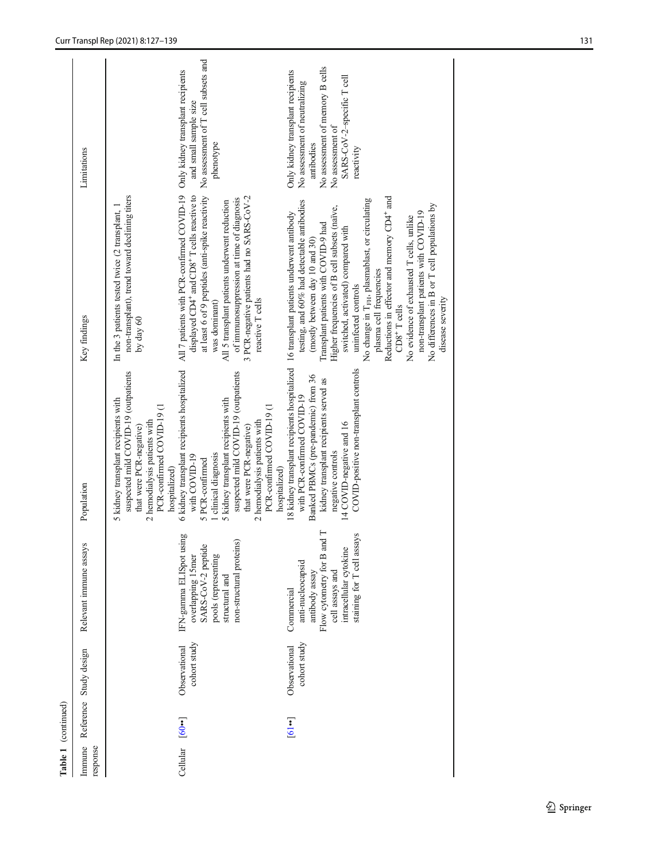|                             | Table 1 (continued)     |                               |                                                                                                                                                            |                                                                                                                                                                                                                                                                                                   |                                                                                                                                                                                                                                                                                                                                                                                                                                                                                                                                                                  |                                                                                                                                                                                     |
|-----------------------------|-------------------------|-------------------------------|------------------------------------------------------------------------------------------------------------------------------------------------------------|---------------------------------------------------------------------------------------------------------------------------------------------------------------------------------------------------------------------------------------------------------------------------------------------------|------------------------------------------------------------------------------------------------------------------------------------------------------------------------------------------------------------------------------------------------------------------------------------------------------------------------------------------------------------------------------------------------------------------------------------------------------------------------------------------------------------------------------------------------------------------|-------------------------------------------------------------------------------------------------------------------------------------------------------------------------------------|
| Immune<br>response          |                         | Reference Study design        | Relevant immune assays                                                                                                                                     | Population                                                                                                                                                                                                                                                                                        | Key findings                                                                                                                                                                                                                                                                                                                                                                                                                                                                                                                                                     | Limitations                                                                                                                                                                         |
|                             |                         |                               |                                                                                                                                                            | suspected mild COVID-19 (outpatients<br>5 kidney transplant recipients with<br>PCR-confirmed COVID-19 (1<br>2 hemodialysis patients with<br>that were PCR-negative)<br>hospitalized)                                                                                                              | non-transplant), trend toward declining titers<br>In the 3 patients tested twice (2 transplant,<br>by day $60$                                                                                                                                                                                                                                                                                                                                                                                                                                                   |                                                                                                                                                                                     |
| Cellular [60 <sup>*</sup> ] |                         | cohort study<br>Observational | IFN-gamma ELISpot using<br>non-structural proteins)<br>SARS-CoV-2 peptide<br>overlapping 15mer<br>pools (representing<br>structural and                    | 6 kidney transplant recipients hospitalized<br>suspected mild COVID-19 (outpatients<br>5 kidney transplant recipients with<br>PCR-confirmed COVID-19 (1<br>2 hemodialysis patients with<br>that were PCR-negative)<br>clinical diagnosis<br>with COVID-19<br>5 PCR-confirmed<br>hospitalized)     | All 7 patients with PCR-confirmed COVID-19 Only kidney transplant recipients<br>at least 6 of 9 peptides (anti-spike reactivity<br>displayed CD4+ and CD8+ T cells reactive to<br>3 PCR-negative patients had no SARS-CoV-2<br>of immunosuppression at time of diagnosis<br>All 5 transplant patients underwent reduction<br>reactive T cells<br>was dominant)                                                                                                                                                                                                   | No assessment of T cell subsets and<br>and small sample size<br>phenotype                                                                                                           |
|                             | $[6] \cdot \cdot \cdot$ | cohort study<br>Observational | Flow cytometry for B and T<br>staining for T cell assays<br>intracellular cytokine<br>anti-nucleocapsid<br>cell assays and<br>antibody assay<br>Commercial | 18 kidney transplant recipients hospitalized 16 transplant patients underwent antibody<br>COVID-positive non-transplant controls<br>Banked PBMCs (pre-pandemic) from 36<br>kidney transplant recipients served as<br>with PCR-confirmed COVID-19<br>14 COVID-negative and 16<br>negative controls | Reductions in effector and memory CD4 <sup>+</sup> and<br>No change in T <sub>FH</sub> , plasmablast, or circulating<br>testing, and 60% had detectable antibodies<br>No differences in B or T cell populations by<br>Higher frequencies of B cell subsets (naïve,<br>non-transplant patients with COVID-19<br>No evidence of exhausted T cells, unlike<br>Transplant patients with COVID-9 had<br>switched, activated) compared with<br>(mostly between day 10 and 30)<br>plasma cell frequencies<br>uninfected controls<br>disease severity<br>$CDS^+$ T cells | No assessment of memory B cells<br>Only kidney transplant recipients<br>SARS-CoV-2-specific T cell<br>No assessment of neutralizing<br>No assessment of<br>antibodies<br>reactivity |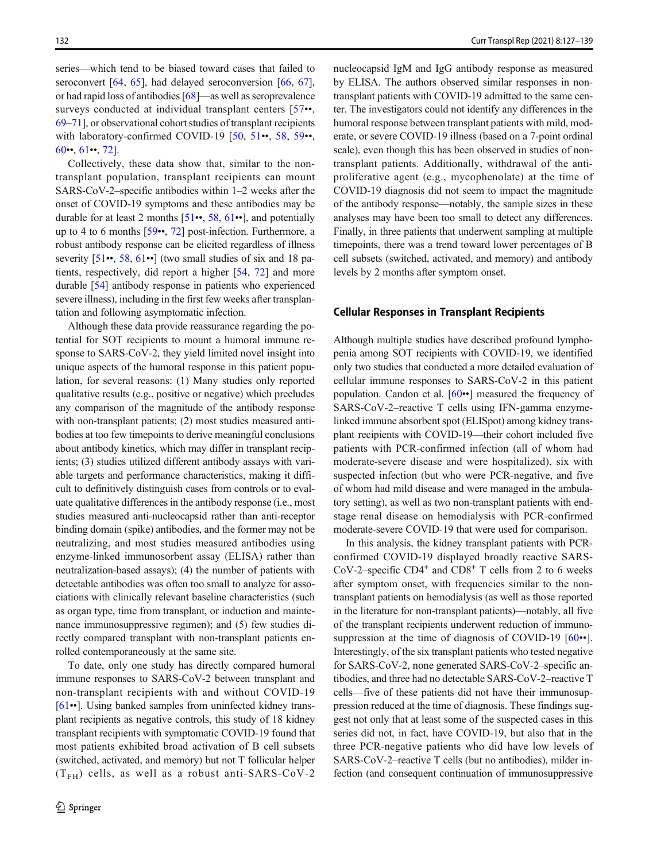series—which tend to be biased toward cases that failed to seroconvert [[64](#page-10-0), [65\]](#page-10-0), had delayed seroconversion [\[66](#page-10-0), [67](#page-11-0)], or had rapid loss of antibodies [\[68\]](#page-11-0)—as well as seroprevalence surveys conducted at individual transplant centers [\[57](#page-10-0)••, [69](#page-11-0)–[71](#page-11-0)], or observational cohort studies of transplant recipients with laboratory-confirmed COVID-19 [\[50](#page-10-0), [51](#page-10-0)••, [58](#page-10-0), [59](#page-10-0)••,  $60 \cdot 61 \cdot 72$  $60 \cdot 61 \cdot 72$  $60 \cdot 61 \cdot 72$  $60 \cdot 61 \cdot 72$ .

Collectively, these data show that, similar to the nontransplant population, transplant recipients can mount SARS-CoV-2–specific antibodies within 1–2 weeks after the onset of COVID-19 symptoms and these antibodies may be durable for at least 2 months  $[51…, 58, 61…], and potentially$  $[51…, 58, 61…], and potentially$  $[51…, 58, 61…], and potentially$  $[51…, 58, 61…], and potentially$  $[51…, 58, 61…], and potentially$  $[51…, 58, 61…], and potentially$ up to 4 to 6 months [[59](#page-10-0)••, [72](#page-11-0)] post-infection. Furthermore, a robust antibody response can be elicited regardless of illness severity [[51](#page-10-0)••, [58](#page-10-0), [61](#page-10-0)••] (two small studies of six and 18 patients, respectively, did report a higher [\[54](#page-10-0), [72\]](#page-11-0) and more durable [[54](#page-10-0)] antibody response in patients who experienced severe illness), including in the first few weeks after transplantation and following asymptomatic infection.

Although these data provide reassurance regarding the potential for SOT recipients to mount a humoral immune response to SARS-CoV-2, they yield limited novel insight into unique aspects of the humoral response in this patient population, for several reasons: (1) Many studies only reported qualitative results (e.g., positive or negative) which precludes any comparison of the magnitude of the antibody response with non-transplant patients; (2) most studies measured antibodies at too few timepoints to derive meaningful conclusions about antibody kinetics, which may differ in transplant recipients; (3) studies utilized different antibody assays with variable targets and performance characteristics, making it difficult to definitively distinguish cases from controls or to evaluate qualitative differences in the antibody response (i.e., most studies measured anti-nucleocapsid rather than anti-receptor binding domain (spike) antibodies, and the former may not be neutralizing, and most studies measured antibodies using enzyme-linked immunosorbent assay (ELISA) rather than neutralization-based assays); (4) the number of patients with detectable antibodies was often too small to analyze for associations with clinically relevant baseline characteristics (such as organ type, time from transplant, or induction and maintenance immunosuppressive regimen); and (5) few studies directly compared transplant with non-transplant patients enrolled contemporaneously at the same site.

To date, only one study has directly compared humoral immune responses to SARS-CoV-2 between transplant and non-transplant recipients with and without COVID-19 [\[61](#page-10-0)••]. Using banked samples from uninfected kidney transplant recipients as negative controls, this study of 18 kidney transplant recipients with symptomatic COVID-19 found that most patients exhibited broad activation of B cell subsets (switched, activated, and memory) but not T follicular helper  $(T<sub>FH</sub>)$  cells, as well as a robust anti-SARS-CoV-2 nucleocapsid IgM and IgG antibody response as measured by ELISA. The authors observed similar responses in nontransplant patients with COVID-19 admitted to the same center. The investigators could not identify any differences in the humoral response between transplant patients with mild, moderate, or severe COVID-19 illness (based on a 7-point ordinal scale), even though this has been observed in studies of nontransplant patients. Additionally, withdrawal of the antiproliferative agent (e.g., mycophenolate) at the time of COVID-19 diagnosis did not seem to impact the magnitude of the antibody response—notably, the sample sizes in these analyses may have been too small to detect any differences. Finally, in three patients that underwent sampling at multiple timepoints, there was a trend toward lower percentages of B cell subsets (switched, activated, and memory) and antibody levels by 2 months after symptom onset.

#### Cellular Responses in Transplant Recipients

Although multiple studies have described profound lymphopenia among SOT recipients with COVID-19, we identified only two studies that conducted a more detailed evaluation of cellular immune responses to SARS-CoV-2 in this patient population. Candon et al. [\[60](#page-10-0)••] measured the frequency of SARS-CoV-2–reactive T cells using IFN-gamma enzymelinked immune absorbent spot (ELISpot) among kidney transplant recipients with COVID-19—their cohort included five patients with PCR-confirmed infection (all of whom had moderate-severe disease and were hospitalized), six with suspected infection (but who were PCR-negative, and five of whom had mild disease and were managed in the ambulatory setting), as well as two non-transplant patients with endstage renal disease on hemodialysis with PCR-confirmed moderate-severe COVID-19 that were used for comparison.

In this analysis, the kidney transplant patients with PCRconfirmed COVID-19 displayed broadly reactive SARS-CoV-2–specific  $CD4^+$  and  $CD8^+$  T cells from 2 to 6 weeks after symptom onset, with frequencies similar to the nontransplant patients on hemodialysis (as well as those reported in the literature for non-transplant patients)—notably, all five of the transplant recipients underwent reduction of immunosuppression at the time of diagnosis of COVID-19  $[60 \cdot \cdot]$  $[60 \cdot \cdot]$  $[60 \cdot \cdot]$ . Interestingly, of the six transplant patients who tested negative for SARS-CoV-2, none generated SARS-CoV-2–specific antibodies, and three had no detectable SARS-CoV-2–reactive T cells—five of these patients did not have their immunosuppression reduced at the time of diagnosis. These findings suggest not only that at least some of the suspected cases in this series did not, in fact, have COVID-19, but also that in the three PCR-negative patients who did have low levels of SARS-CoV-2–reactive T cells (but no antibodies), milder infection (and consequent continuation of immunosuppressive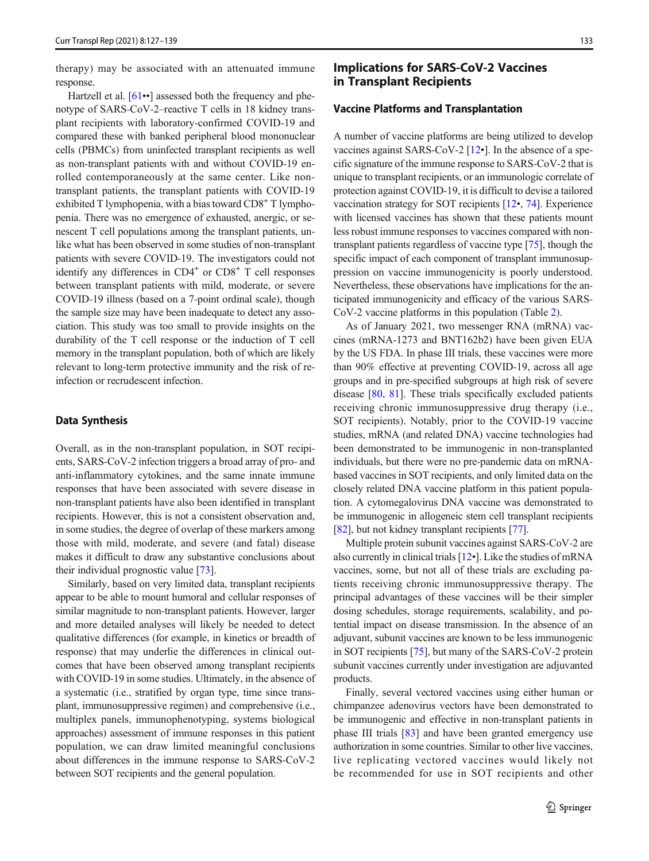therapy) may be associated with an attenuated immune response.

Hartzell et al. [\[61](#page-10-0)••] assessed both the frequency and phenotype of SARS-CoV-2–reactive T cells in 18 kidney transplant recipients with laboratory-confirmed COVID-19 and compared these with banked peripheral blood mononuclear cells (PBMCs) from uninfected transplant recipients as well as non-transplant patients with and without COVID-19 enrolled contemporaneously at the same center. Like nontransplant patients, the transplant patients with COVID-19 exhibited  $T$  lymphopenia, with a bias toward  $CD8<sup>+</sup> T$  lymphopenia. There was no emergence of exhausted, anergic, or senescent T cell populations among the transplant patients, unlike what has been observed in some studies of non-transplant patients with severe COVID-19. The investigators could not identify any differences in  $CD4^+$  or  $CD8^+$  T cell responses between transplant patients with mild, moderate, or severe COVID-19 illness (based on a 7-point ordinal scale), though the sample size may have been inadequate to detect any association. This study was too small to provide insights on the durability of the T cell response or the induction of T cell memory in the transplant population, both of which are likely relevant to long-term protective immunity and the risk of reinfection or recrudescent infection.

### Data Synthesis

Overall, as in the non-transplant population, in SOT recipients, SARS-CoV-2 infection triggers a broad array of pro- and anti-inflammatory cytokines, and the same innate immune responses that have been associated with severe disease in non-transplant patients have also been identified in transplant recipients. However, this is not a consistent observation and, in some studies, the degree of overlap of these markers among those with mild, moderate, and severe (and fatal) disease makes it difficult to draw any substantive conclusions about their individual prognostic value [\[73](#page-11-0)].

Similarly, based on very limited data, transplant recipients appear to be able to mount humoral and cellular responses of similar magnitude to non-transplant patients. However, larger and more detailed analyses will likely be needed to detect qualitative differences (for example, in kinetics or breadth of response) that may underlie the differences in clinical outcomes that have been observed among transplant recipients with COVID-19 in some studies. Ultimately, in the absence of a systematic (i.e., stratified by organ type, time since transplant, immunosuppressive regimen) and comprehensive (i.e., multiplex panels, immunophenotyping, systems biological approaches) assessment of immune responses in this patient population, we can draw limited meaningful conclusions about differences in the immune response to SARS-CoV-2 between SOT recipients and the general population.

# Implications for SARS-CoV-2 Vaccines in Transplant Recipients

#### Vaccine Platforms and Transplantation

A number of vaccine platforms are being utilized to develop vaccines against SARS-CoV-2 [\[12](#page-9-0)•]. In the absence of a specific signature of the immune response to SARS-CoV-2 that is unique to transplant recipients, or an immunologic correlate of protection against COVID-19, it is difficult to devise a tailored vaccination strategy for SOT recipients [\[12](#page-9-0)•, [74](#page-11-0)]. Experience with licensed vaccines has shown that these patients mount less robust immune responses to vaccines compared with nontransplant patients regardless of vaccine type [\[75\]](#page-11-0), though the specific impact of each component of transplant immunosuppression on vaccine immunogenicity is poorly understood. Nevertheless, these observations have implications for the anticipated immunogenicity and efficacy of the various SARS-CoV-2 vaccine platforms in this population (Table [2\)](#page-7-0).

As of January 2021, two messenger RNA (mRNA) vaccines (mRNA-1273 and BNT162b2) have been given EUA by the US FDA. In phase III trials, these vaccines were more than 90% effective at preventing COVID-19, across all age groups and in pre-specified subgroups at high risk of severe disease [\[80](#page-11-0), [81](#page-11-0)]. These trials specifically excluded patients receiving chronic immunosuppressive drug therapy (i.e., SOT recipients). Notably, prior to the COVID-19 vaccine studies, mRNA (and related DNA) vaccine technologies had been demonstrated to be immunogenic in non-transplanted individuals, but there were no pre-pandemic data on mRNAbased vaccines in SOT recipients, and only limited data on the closely related DNA vaccine platform in this patient population. A cytomegalovirus DNA vaccine was demonstrated to be immunogenic in allogeneic stem cell transplant recipients [\[82](#page-11-0)], but not kidney transplant recipients [\[77\]](#page-11-0).

Multiple protein subunit vaccines against SARS-CoV-2 are also currently in clinical trials [\[12](#page-9-0)•]. Like the studies of mRNA vaccines, some, but not all of these trials are excluding patients receiving chronic immunosuppressive therapy. The principal advantages of these vaccines will be their simpler dosing schedules, storage requirements, scalability, and potential impact on disease transmission. In the absence of an adjuvant, subunit vaccines are known to be less immunogenic in SOT recipients [[75](#page-11-0)], but many of the SARS-CoV-2 protein subunit vaccines currently under investigation are adjuvanted products.

Finally, several vectored vaccines using either human or chimpanzee adenovirus vectors have been demonstrated to be immunogenic and effective in non-transplant patients in phase III trials [[83\]](#page-11-0) and have been granted emergency use authorization in some countries. Similar to other live vaccines, live replicating vectored vaccines would likely not be recommended for use in SOT recipients and other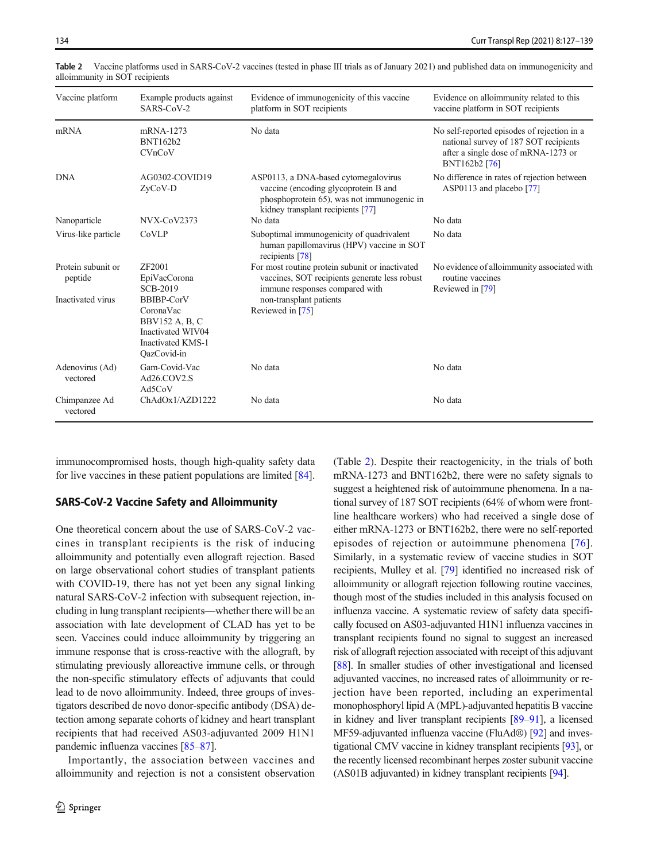| Vaccine platform              | Example products against<br>SARS-CoV-2                                                                           | Evidence of immunogenicity of this vaccine<br>platform in SOT recipients                                                                                        | Evidence on alloimmunity related to this<br>vaccine platform in SOT recipients                                                               |
|-------------------------------|------------------------------------------------------------------------------------------------------------------|-----------------------------------------------------------------------------------------------------------------------------------------------------------------|----------------------------------------------------------------------------------------------------------------------------------------------|
| mRNA                          | mRNA-1273<br><b>BNT162b2</b><br>CVnCoV                                                                           | No data                                                                                                                                                         | No self-reported episodes of rejection in a<br>national survey of 187 SOT recipients<br>after a single dose of mRNA-1273 or<br>BNT162b2 [76] |
| <b>DNA</b>                    | AG0302-COVID19<br>$ZvCoV-D$                                                                                      | ASP0113, a DNA-based cytomegalovirus<br>vaccine (encoding glycoprotein B and<br>phosphoprotein 65), was not immunogenic in<br>kidney transplant recipients [77] | No difference in rates of rejection between<br>ASP0113 and placebo [77]                                                                      |
| Nanoparticle                  | NVX-CoV2373                                                                                                      | No data                                                                                                                                                         | No data                                                                                                                                      |
| Virus-like particle           | CoVLP                                                                                                            | Suboptimal immunogenicity of quadrivalent<br>human papillomavirus (HPV) vaccine in SOT<br>recipients [78]                                                       | No data                                                                                                                                      |
| Protein subunit or<br>peptide | ZF2001<br>EpiVacCorona<br><b>SCB-2019</b>                                                                        | For most routine protein subunit or inactivated<br>vaccines, SOT recipients generate less robust<br>immune responses compared with                              | No evidence of alloimmunity associated with<br>routine vaccines<br>Reviewed in [79]                                                          |
| Inactivated virus             | <b>BBIBP-CorV</b><br>CoronaVac<br>BBV152 A, B, C<br>Inactivated WIV04<br><b>Inactivated KMS-1</b><br>OazCovid-in | non-transplant patients<br>Reviewed in [75]                                                                                                                     |                                                                                                                                              |
| Adenovirus (Ad)<br>vectored   | Gam-Covid-Vac<br>Ad26.COV2.S<br>Ad5CoV                                                                           | No data                                                                                                                                                         | No data                                                                                                                                      |
| Chimpanzee Ad<br>vectored     | ChAdOx1/AZD1222                                                                                                  | No data                                                                                                                                                         | No data                                                                                                                                      |

<span id="page-7-0"></span>Table 2 Vaccine platforms used in SARS-CoV-2 vaccines (tested in phase III trials as of January 2021) and published data on immunogenicity and alloimmunity in SOT recipients

immunocompromised hosts, though high-quality safety data for live vaccines in these patient populations are limited [[84\]](#page-11-0).

## SARS-CoV-2 Vaccine Safety and Alloimmunity

One theoretical concern about the use of SARS-CoV-2 vaccines in transplant recipients is the risk of inducing alloimmunity and potentially even allograft rejection. Based on large observational cohort studies of transplant patients with COVID-19, there has not yet been any signal linking natural SARS-CoV-2 infection with subsequent rejection, including in lung transplant recipients—whether there will be an association with late development of CLAD has yet to be seen. Vaccines could induce alloimmunity by triggering an immune response that is cross-reactive with the allograft, by stimulating previously alloreactive immune cells, or through the non-specific stimulatory effects of adjuvants that could lead to de novo alloimmunity. Indeed, three groups of investigators described de novo donor-specific antibody (DSA) detection among separate cohorts of kidney and heart transplant recipients that had received AS03-adjuvanted 2009 H1N1 pandemic influenza vaccines [[85](#page-11-0)–[87](#page-11-0)].

Importantly, the association between vaccines and alloimmunity and rejection is not a consistent observation (Table 2). Despite their reactogenicity, in the trials of both mRNA-1273 and BNT162b2, there were no safety signals to suggest a heightened risk of autoimmune phenomena. In a national survey of 187 SOT recipients (64% of whom were frontline healthcare workers) who had received a single dose of either mRNA-1273 or BNT162b2, there were no self-reported episodes of rejection or autoimmune phenomena [[76](#page-11-0)]. Similarly, in a systematic review of vaccine studies in SOT recipients, Mulley et al. [[79](#page-11-0)] identified no increased risk of alloimmunity or allograft rejection following routine vaccines, though most of the studies included in this analysis focused on influenza vaccine. A systematic review of safety data specifically focused on AS03-adjuvanted H1N1 influenza vaccines in transplant recipients found no signal to suggest an increased risk of allograft rejection associated with receipt of this adjuvant [\[88\]](#page-11-0). In smaller studies of other investigational and licensed adjuvanted vaccines, no increased rates of alloimmunity or rejection have been reported, including an experimental monophosphoryl lipid A (MPL)-adjuvanted hepatitis B vaccine in kidney and liver transplant recipients [\[89](#page-11-0)–[91\]](#page-11-0), a licensed MF59-adjuvanted influenza vaccine (FluAd®) [\[92\]](#page-11-0) and investigational CMV vaccine in kidney transplant recipients [\[93](#page-11-0)], or the recently licensed recombinant herpes zoster subunit vaccine (AS01B adjuvanted) in kidney transplant recipients [\[94](#page-11-0)].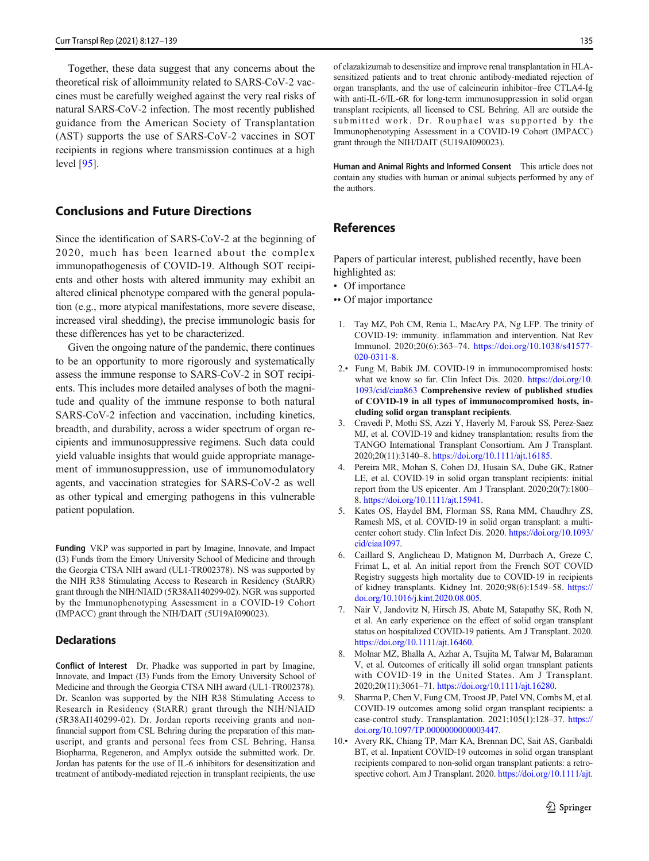<span id="page-8-0"></span>Together, these data suggest that any concerns about the theoretical risk of alloimmunity related to SARS-CoV-2 vaccines must be carefully weighed against the very real risks of natural SARS-CoV-2 infection. The most recently published guidance from the American Society of Transplantation (AST) supports the use of SARS-CoV-2 vaccines in SOT recipients in regions where transmission continues at a high level [\[95](#page-12-0)].

# Conclusions and Future Directions

Since the identification of SARS-CoV-2 at the beginning of 2020, much has been learned about the complex immunopathogenesis of COVID-19. Although SOT recipients and other hosts with altered immunity may exhibit an altered clinical phenotype compared with the general population (e.g., more atypical manifestations, more severe disease, increased viral shedding), the precise immunologic basis for these differences has yet to be characterized.

Given the ongoing nature of the pandemic, there continues to be an opportunity to more rigorously and systematically assess the immune response to SARS-CoV-2 in SOT recipients. This includes more detailed analyses of both the magnitude and quality of the immune response to both natural SARS-CoV-2 infection and vaccination, including kinetics, breadth, and durability, across a wider spectrum of organ recipients and immunosuppressive regimens. Such data could yield valuable insights that would guide appropriate management of immunosuppression, use of immunomodulatory agents, and vaccination strategies for SARS-CoV-2 as well as other typical and emerging pathogens in this vulnerable patient population.

Funding VKP was supported in part by Imagine, Innovate, and Impact (I3) Funds from the Emory University School of Medicine and through the Georgia CTSA NIH award (UL1-TR002378). NS was supported by the NIH R38 Stimulating Access to Research in Residency (StARR) grant through the NIH/NIAID (5R38AI140299-02). NGR was supported by the Immunophenotyping Assessment in a COVID-19 Cohort (IMPACC) grant through the NIH/DAIT (5U19AI090023).

## **Declarations**

Conflict of Interest Dr. Phadke was supported in part by Imagine, Innovate, and Impact (I3) Funds from the Emory University School of Medicine and through the Georgia CTSA NIH award (UL1-TR002378). Dr. Scanlon was supported by the NIH R38 Stimulating Access to Research in Residency (StARR) grant through the NIH/NIAID (5R38AI140299-02). Dr. Jordan reports receiving grants and nonfinancial support from CSL Behring during the preparation of this manuscript, and grants and personal fees from CSL Behring, Hansa Biopharma, Regeneron, and Amplyx outside the submitted work. Dr. Jordan has patents for the use of IL-6 inhibitors for desensitization and treatment of antibody-mediated rejection in transplant recipients, the use of clazakizumab to desensitize and improve renal transplantation in HLAsensitized patients and to treat chronic antibody-mediated rejection of organ transplants, and the use of calcineurin inhibitor–free CTLA4-Ig with anti-IL-6/IL-6R for long-term immunosuppression in solid organ transplant recipients, all licensed to CSL Behring. All are outside the submitted work. Dr. Rouphael was supported by the Immunophenotyping Assessment in a COVID-19 Cohort (IMPACC) grant through the NIH/DAIT (5U19AI090023).

Human and Animal Rights and Informed Consent This article does not contain any studies with human or animal subjects performed by any of the authors.

## References

Papers of particular interest, published recently, have been highlighted as:

- Of importance
- •• Of major importance
- 1. Tay MZ, Poh CM, Renia L, MacAry PA, Ng LFP. The trinity of COVID-19: immunity. inflammation and intervention. Nat Rev Immunol. 2020;20(6):363–74. [https://doi.org/10.1038/s41577-](https://doi.org/10.1038/s41577-020-0311-8.) [020-0311-8.](https://doi.org/10.1038/s41577-020-0311-8.)
- 2.• Fung M, Babik JM. COVID-19 in immunocompromised hosts: what we know so far. Clin Infect Dis. 2020. [https://doi.org/10.](https://doi.org/10.1093/cid/ciaa863) [1093/cid/ciaa863](https://doi.org/10.1093/cid/ciaa863) Comprehensive review of published studies of COVID-19 in all types of immunocompromised hosts, including solid organ transplant recipients.
- 3. Cravedi P, Mothi SS, Azzi Y, Haverly M, Farouk SS, Perez-Saez MJ, et al. COVID-19 and kidney transplantation: results from the TANGO International Transplant Consortium. Am J Transplant. 2020;20(11):3140–8. [https://doi.org/10.1111/ajt.16185.](https://doi.org/10.1111/ajt.16185)
- 4. Pereira MR, Mohan S, Cohen DJ, Husain SA, Dube GK, Ratner LE, et al. COVID-19 in solid organ transplant recipients: initial report from the US epicenter. Am J Transplant. 2020;20(7):1800– 8. <https://doi.org/10.1111/ajt.15941>.
- 5. Kates OS, Haydel BM, Florman SS, Rana MM, Chaudhry ZS, Ramesh MS, et al. COVID-19 in solid organ transplant: a multicenter cohort study. Clin Infect Dis. 2020. [https://doi.org/10.1093/](https://doi.org/10.1093/cid/ciaa1097) [cid/ciaa1097](https://doi.org/10.1093/cid/ciaa1097).
- 6. Caillard S, Anglicheau D, Matignon M, Durrbach A, Greze C, Frimat L, et al. An initial report from the French SOT COVID Registry suggests high mortality due to COVID-19 in recipients of kidney transplants. Kidney Int. 2020;98(6):1549–58. [https://](https://doi.org/10.1016/j.kint.2020.08.005) [doi.org/10.1016/j.kint.2020.08.005](https://doi.org/10.1016/j.kint.2020.08.005).
- 7. Nair V, Jandovitz N, Hirsch JS, Abate M, Satapathy SK, Roth N, et al. An early experience on the effect of solid organ transplant status on hospitalized COVID-19 patients. Am J Transplant. 2020. <https://doi.org/10.1111/ajt.16460>.
- 8. Molnar MZ, Bhalla A, Azhar A, Tsujita M, Talwar M, Balaraman V, et al. Outcomes of critically ill solid organ transplant patients with COVID-19 in the United States. Am J Transplant. 2020;20(11):3061–71. <https://doi.org/10.1111/ajt.16280>.
- 9. Sharma P, Chen V, Fung CM, Troost JP, Patel VN, Combs M, et al. COVID-19 outcomes among solid organ transplant recipients: a case-control study. Transplantation. 2021;105(1):128–37. [https://](https://doi.org/10.1097/TP.0000000000003447) [doi.org/10.1097/TP.0000000000003447.](https://doi.org/10.1097/TP.0000000000003447)
- 10.• Avery RK, Chiang TP, Marr KA, Brennan DC, Sait AS, Garibaldi BT, et al. Inpatient COVID-19 outcomes in solid organ transplant recipients compared to non-solid organ transplant patients: a retrospective cohort. Am J Transplant. 2020. [https://doi.org/10.1111/ajt.](https://doi.org/10.1111/ajt.16431)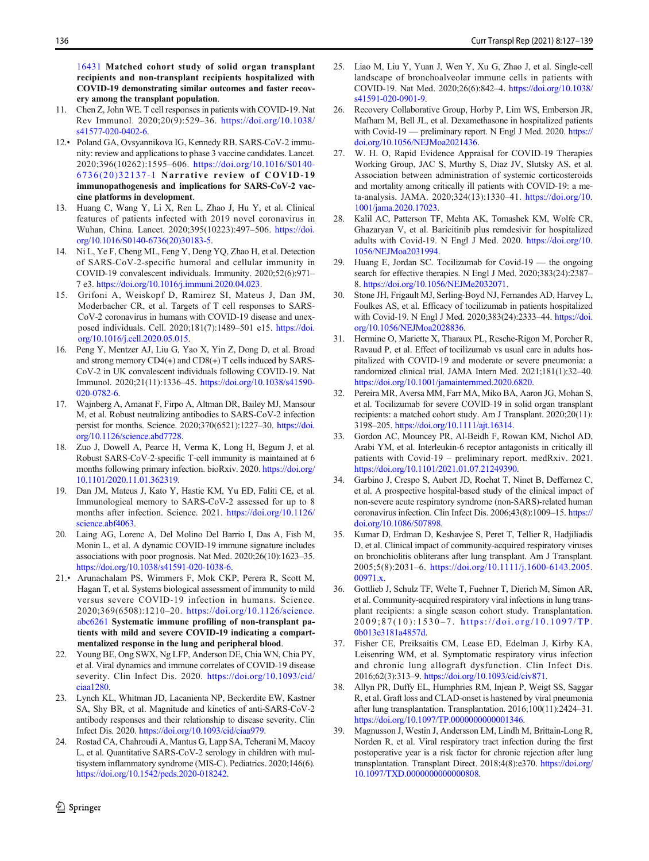<span id="page-9-0"></span>[16431](https://doi.org/10.1111/ajt.16431) Matched cohort study of solid organ transplant recipients and non-transplant recipients hospitalized with COVID-19 demonstrating similar outcomes and faster recovery among the transplant population.

- 11. Chen Z, John WE. T cell responses in patients with COVID-19. Nat Rev Immunol. 2020;20(9):529–36. [https://doi.org/10.1038/](https://doi.org/10.1038/s41577-020-0402-6) [s41577-020-0402-6.](https://doi.org/10.1038/s41577-020-0402-6)
- 12.• Poland GA, Ovsyannikova IG, Kennedy RB. SARS-CoV-2 immunity: review and applications to phase 3 vaccine candidates. Lancet. 2020;396(10262):1595–606. [https://doi.org/10.1016/S0140-](https://doi.org/10.1016/S0140-6736(20)32137-1) [6736\(20\)32137-1](https://doi.org/10.1016/S0140-6736(20)32137-1) Narrative review of COVID-19 immunopathogenesis and implications for SARS-CoV-2 vaccine platforms in development.
- 13. Huang C, Wang Y, Li X, Ren L, Zhao J, Hu Y, et al. Clinical features of patients infected with 2019 novel coronavirus in Wuhan, China. Lancet. 2020;395(10223):497–506. [https://doi.](https://doi.org/10.1016/S0140-6736(20)30183-5) [org/10.1016/S0140-6736\(20\)30183-5.](https://doi.org/10.1016/S0140-6736(20)30183-5)
- 14. Ni L, Ye F, Cheng ML, Feng Y, Deng YQ, Zhao H, et al. Detection of SARS-CoV-2-specific humoral and cellular immunity in COVID-19 convalescent individuals. Immunity. 2020;52(6):971– 7 e3. [https://doi.org/10.1016/j.immuni.2020.04.023.](https://doi.org/10.1016/j.immuni.2020.04.023)
- 15. Grifoni A, Weiskopf D, Ramirez SI, Mateus J, Dan JM, Moderbacher CR, et al. Targets of T cell responses to SARS-CoV-2 coronavirus in humans with COVID-19 disease and unexposed individuals. Cell. 2020;181(7):1489–501 e15. [https://doi.](https://doi.org/10.1016/j.cell.2020.05.015) [org/10.1016/j.cell.2020.05.015.](https://doi.org/10.1016/j.cell.2020.05.015)
- 16. Peng Y, Mentzer AJ, Liu G, Yao X, Yin Z, Dong D, et al. Broad and strong memory CD4(+) and CD8(+) T cells induced by SARS-CoV-2 in UK convalescent individuals following COVID-19. Nat Immunol. 2020;21(11):1336–45. [https://doi.org/10.1038/s41590-](https://doi.org/10.1038/s41590-020-0782-6) [020-0782-6](https://doi.org/10.1038/s41590-020-0782-6).
- 17. Wajnberg A, Amanat F, Firpo A, Altman DR, Bailey MJ, Mansour M, et al. Robust neutralizing antibodies to SARS-CoV-2 infection persist for months. Science. 2020;370(6521):1227–30. [https://doi.](https://doi.org/10.1126/science.abd7728) [org/10.1126/science.abd7728.](https://doi.org/10.1126/science.abd7728)
- 18. Zuo J, Dowell A, Pearce H, Verma K, Long H, Begum J, et al. Robust SARS-CoV-2-specific T-cell immunity is maintained at 6 months following primary infection. bioRxiv. 2020. [https://doi.org/](https://doi.org/10.1101/2020.11.01.362319) [10.1101/2020.11.01.362319](https://doi.org/10.1101/2020.11.01.362319).
- 19. Dan JM, Mateus J, Kato Y, Hastie KM, Yu ED, Faliti CE, et al. Immunological memory to SARS-CoV-2 assessed for up to 8 months after infection. Science. 2021. [https://doi.org/10.1126/](https://doi.org/10.1126/science.abf4063) [science.abf4063.](https://doi.org/10.1126/science.abf4063)
- 20. Laing AG, Lorenc A, Del Molino Del Barrio I, Das A, Fish M, Monin L, et al. A dynamic COVID-19 immune signature includes associations with poor prognosis. Nat Med. 2020;26(10):1623–35. [https://doi.org/10.1038/s41591-020-1038-6.](https://doi.org/10.1038/s41591-020-1038-6)
- 21.• Arunachalam PS, Wimmers F, Mok CKP, Perera R, Scott M, Hagan T, et al. Systems biological assessment of immunity to mild versus severe COVID-19 infection in humans. Science. 2020;369(6508):1210–20. [https://doi.org/10.1126/science.](https://doi.org/10.1126/science.abc6261) [abc6261](https://doi.org/10.1126/science.abc6261) Systematic immune profiling of non-transplant patients with mild and severe COVID-19 indicating a compartmentalized response in the lung and peripheral blood.
- 22. Young BE, Ong SWX, Ng LFP, Anderson DE, Chia WN, Chia PY, et al. Viral dynamics and immune correlates of COVID-19 disease severity. Clin Infect Dis. 2020. [https://doi.org/10.1093/cid/](https://doi.org/10.1093/cid/ciaa1280) [ciaa1280.](https://doi.org/10.1093/cid/ciaa1280)
- 23. Lynch KL, Whitman JD, Lacanienta NP, Beckerdite EW, Kastner SA, Shy BR, et al. Magnitude and kinetics of anti-SARS-CoV-2 antibody responses and their relationship to disease severity. Clin Infect Dis. 2020. <https://doi.org/10.1093/cid/ciaa979>.
- 24. Rostad CA, Chahroudi A, Mantus G, Lapp SA, Teherani M, Macoy L, et al. Quantitative SARS-CoV-2 serology in children with multisystem inflammatory syndrome (MIS-C). Pediatrics. 2020;146(6). <https://doi.org/10.1542/peds.2020-018242>.
- 25. Liao M, Liu Y, Yuan J, Wen Y, Xu G, Zhao J, et al. Single-cell landscape of bronchoalveolar immune cells in patients with COVID-19. Nat Med. 2020;26(6):842–4. [https://doi.org/10.1038/](https://doi.org/10.1038/s41591-020-0901-9) [s41591-020-0901-9](https://doi.org/10.1038/s41591-020-0901-9).
- 26. Recovery Collaborative Group, Horby P, Lim WS, Emberson JR, Mafham M, Bell JL, et al. Dexamethasone in hospitalized patients with Covid-19 — preliminary report. N Engl J Med. 2020. [https://](https://doi.org/10.1056/NEJMoa2021436) [doi.org/10.1056/NEJMoa2021436](https://doi.org/10.1056/NEJMoa2021436).
- 27. W. H. O, Rapid Evidence Appraisal for COVID-19 Therapies Working Group, JAC S, Murthy S, Diaz JV, Slutsky AS, et al. Association between administration of systemic corticosteroids and mortality among critically ill patients with COVID-19: a meta-analysis. JAMA. 2020;324(13):1330–41. [https://doi.org/10.](https://doi.org/10.1001/jama.2020.17023) [1001/jama.2020.17023](https://doi.org/10.1001/jama.2020.17023).
- 28. Kalil AC, Patterson TF, Mehta AK, Tomashek KM, Wolfe CR, Ghazaryan V, et al. Baricitinib plus remdesivir for hospitalized adults with Covid-19. N Engl J Med. 2020. [https://doi.org/10.](https://doi.org/10.1056/NEJMoa2031994) [1056/NEJMoa2031994](https://doi.org/10.1056/NEJMoa2031994).
- 29. Huang E, Jordan SC. Tocilizumab for Covid-19 the ongoing search for effective therapies. N Engl J Med. 2020;383(24):2387– 8. [https://doi.org/10.1056/NEJMe2032071.](https://doi.org/10.1056/NEJMe2032071)
- 30. Stone JH, Frigault MJ, Serling-Boyd NJ, Fernandes AD, Harvey L, Foulkes AS, et al. Efficacy of tocilizumab in patients hospitalized with Covid-19. N Engl J Med. 2020;383(24):2333–44. [https://doi.](https://doi.org/10.1056/NEJMoa2028836) [org/10.1056/NEJMoa2028836.](https://doi.org/10.1056/NEJMoa2028836)
- 31. Hermine O, Mariette X, Tharaux PL, Resche-Rigon M, Porcher R, Ravaud P, et al. Effect of tocilizumab vs usual care in adults hospitalized with COVID-19 and moderate or severe pneumonia: a randomized clinical trial. JAMA Intern Med. 2021;181(1):32–40. <https://doi.org/10.1001/jamainternmed.2020.6820>.
- 32. Pereira MR, Aversa MM, Farr MA, Miko BA, Aaron JG, Mohan S, et al. Tocilizumab for severe COVID-19 in solid organ transplant recipients: a matched cohort study. Am J Transplant. 2020;20(11): 3198–205. <https://doi.org/10.1111/ajt.16314>.
- 33. Gordon AC, Mouncey PR, Al-Beidh F, Rowan KM, Nichol AD, Arabi YM, et al. Interleukin-6 receptor antagonists in critically ill patients with Covid-19 – preliminary report. medRxiv. 2021. <https://doi.org/10.1101/2021.01.07.21249390>.
- 34. Garbino J, Crespo S, Aubert JD, Rochat T, Ninet B, Deffernez C, et al. A prospective hospital-based study of the clinical impact of non-severe acute respiratory syndrome (non-SARS)-related human coronavirus infection. Clin Infect Dis. 2006;43(8):1009–15. [https://](https://doi.org/10.1086/507898) [doi.org/10.1086/507898.](https://doi.org/10.1086/507898)
- 35. Kumar D, Erdman D, Keshavjee S, Peret T, Tellier R, Hadjiliadis D, et al. Clinical impact of community-acquired respiratory viruses on bronchiolitis obliterans after lung transplant. Am J Transplant. 2005;5(8):2031–6. [https://doi.org/10.1111/j.1600-6143.2005.](https://doi.org/10.1111/j.1600-6143.2005.00971.x) [00971.x.](https://doi.org/10.1111/j.1600-6143.2005.00971.x)
- 36. Gottlieb J, Schulz TF, Welte T, Fuehner T, Dierich M, Simon AR, et al. Community-acquired respiratory viral infections in lung transplant recipients: a single season cohort study. Transplantation. 2009;87(10):1530-7. [https://doi.org/10.1097/TP.](https://doi.org/10.1097/TP.0b013e3181a4857d) [0b013e3181a4857d](https://doi.org/10.1097/TP.0b013e3181a4857d).
- 37. Fisher CE, Preiksaitis CM, Lease ED, Edelman J, Kirby KA, Leisenring WM, et al. Symptomatic respiratory virus infection and chronic lung allograft dysfunction. Clin Infect Dis. 2016;62(3):313–9. [https://doi.org/10.1093/cid/civ871.](https://doi.org/10.1093/cid/civ871)
- 38. Allyn PR, Duffy EL, Humphries RM, Injean P, Weigt SS, Saggar R, et al. Graft loss and CLAD-onset is hastened by viral pneumonia after lung transplantation. Transplantation. 2016;100(11):2424–31. <https://doi.org/10.1097/TP.0000000000001346>.
- 39. Magnusson J, Westin J, Andersson LM, Lindh M, Brittain-Long R, Norden R, et al. Viral respiratory tract infection during the first postoperative year is a risk factor for chronic rejection after lung transplantation. Transplant Direct. 2018;4(8):e370. [https://doi.org/](https://doi.org/10.1097/TXD.0000000000000808) [10.1097/TXD.0000000000000808](https://doi.org/10.1097/TXD.0000000000000808).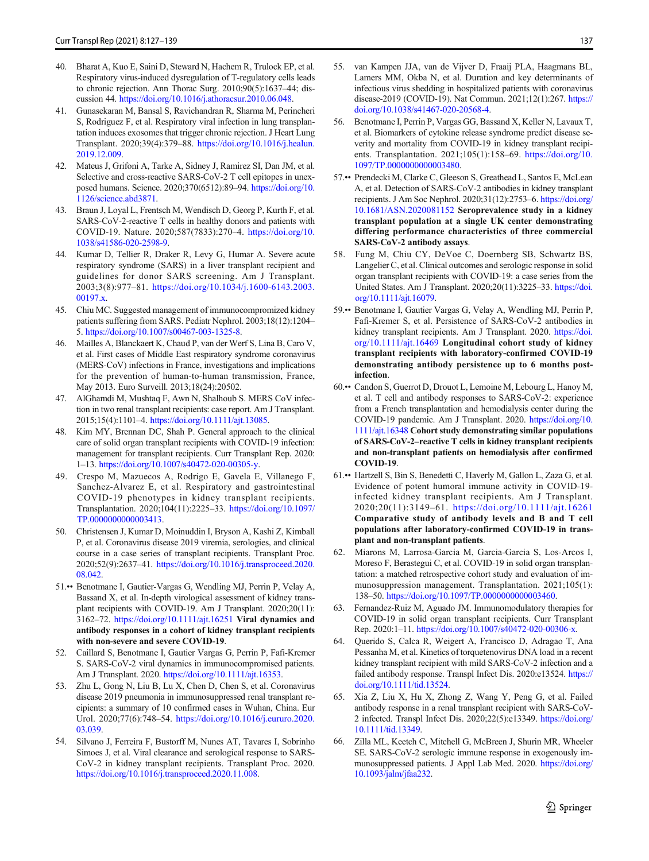- <span id="page-10-0"></span>40. Bharat A, Kuo E, Saini D, Steward N, Hachem R, Trulock EP, et al. Respiratory virus-induced dysregulation of T-regulatory cells leads to chronic rejection. Ann Thorac Surg. 2010;90(5):1637–44; discussion 44. [https://doi.org/10.1016/j.athoracsur.2010.06.048.](https://doi.org/10.1016/j.athoracsur.2010.06.048)
- 41. Gunasekaran M, Bansal S, Ravichandran R, Sharma M, Perincheri S, Rodriguez F, et al. Respiratory viral infection in lung transplantation induces exosomes that trigger chronic rejection. J Heart Lung Transplant. 2020;39(4):379–88. [https://doi.org/10.1016/j.healun.](https://doi.org/10.1016/j.healun.2019.12.009) [2019.12.009](https://doi.org/10.1016/j.healun.2019.12.009).
- 42. Mateus J, Grifoni A, Tarke A, Sidney J, Ramirez SI, Dan JM, et al. Selective and cross-reactive SARS-CoV-2 T cell epitopes in unexposed humans. Science. 2020;370(6512):89–94. [https://doi.org/10.](https://doi.org/10.1126/science.abd3871) [1126/science.abd3871](https://doi.org/10.1126/science.abd3871).
- 43. Braun J, Loyal L, Frentsch M, Wendisch D, Georg P, Kurth F, et al. SARS-CoV-2-reactive T cells in healthy donors and patients with COVID-19. Nature. 2020;587(7833):270–4. [https://doi.org/10.](https://doi.org/10.1038/s41586-020-2598-9) [1038/s41586-020-2598-9.](https://doi.org/10.1038/s41586-020-2598-9)
- 44. Kumar D, Tellier R, Draker R, Levy G, Humar A. Severe acute respiratory syndrome (SARS) in a liver transplant recipient and guidelines for donor SARS screening. Am J Transplant. 2003;3(8):977–81. [https://doi.org/10.1034/j.1600-6143.2003.](https://doi.org/10.1034/j.1600-6143.2003.00197.x) [00197.x.](https://doi.org/10.1034/j.1600-6143.2003.00197.x)
- 45. Chiu MC. Suggested management of immunocompromized kidney patients suffering from SARS. Pediatr Nephrol. 2003;18(12):1204– 5. <https://doi.org/10.1007/s00467-003-1325-8>.
- 46. Mailles A, Blanckaert K, Chaud P, van der Werf S, Lina B, Caro V, et al. First cases of Middle East respiratory syndrome coronavirus (MERS-CoV) infections in France, investigations and implications for the prevention of human-to-human transmission, France, May 2013. Euro Surveill. 2013;18(24):20502.
- 47. AlGhamdi M, Mushtaq F, Awn N, Shalhoub S. MERS CoV infection in two renal transplant recipients: case report. Am J Transplant. 2015;15(4):1101–4. [https://doi.org/10.1111/ajt.13085.](https://doi.org/10.1111/ajt.13085)
- 48. Kim MY, Brennan DC, Shah P. General approach to the clinical care of solid organ transplant recipients with COVID-19 infection: management for transplant recipients. Curr Transplant Rep. 2020: 1–13. [https://doi.org/10.1007/s40472-020-00305-y.](https://doi.org/10.1007/s40472-020-00305-y)
- 49. Crespo M, Mazuecos A, Rodrigo E, Gavela E, Villanego F, Sanchez-Alvarez E, et al. Respiratory and gastrointestinal COVID-19 phenotypes in kidney transplant recipients. Transplantation. 2020;104(11):2225–33. [https://doi.org/10.1097/](https://doi.org/10.1097/TP.0000000000003413) [TP.0000000000003413.](https://doi.org/10.1097/TP.0000000000003413)
- 50. Christensen J, Kumar D, Moinuddin I, Bryson A, Kashi Z, Kimball P, et al. Coronavirus disease 2019 viremia, serologies, and clinical course in a case series of transplant recipients. Transplant Proc. 2020;52(9):2637–41. [https://doi.org/10.1016/j.transproceed.2020.](https://doi.org/10.1016/j.transproceed.2020.08.042) [08.042.](https://doi.org/10.1016/j.transproceed.2020.08.042)
- 51.•• Benotmane I, Gautier-Vargas G, Wendling MJ, Perrin P, Velay A, Bassand X, et al. In-depth virological assessment of kidney transplant recipients with COVID-19. Am J Transplant. 2020;20(11): 3162–72. <https://doi.org/10.1111/ajt.16251> Viral dynamics and antibody responses in a cohort of kidney transplant recipients with non-severe and severe COVID-19.
- 52. Caillard S, Benotmane I, Gautier Vargas G, Perrin P, Fafi-Kremer S. SARS-CoV-2 viral dynamics in immunocompromised patients. Am J Transplant. 2020. [https://doi.org/10.1111/ajt.16353.](https://doi.org/10.1111/ajt.16353)
- 53. Zhu L, Gong N, Liu B, Lu X, Chen D, Chen S, et al. Coronavirus disease 2019 pneumonia in immunosuppressed renal transplant recipients: a summary of 10 confirmed cases in Wuhan, China. Eur Urol. 2020;77(6):748–54. [https://doi.org/10.1016/j.eururo.2020.](https://doi.org/10.1016/j.eururo.2020.03.039) [03.039.](https://doi.org/10.1016/j.eururo.2020.03.039)
- 54. Silvano J, Ferreira F, Bustorff M, Nunes AT, Tavares I, Sobrinho Simoes J, et al. Viral clearance and serological response to SARS-CoV-2 in kidney transplant recipients. Transplant Proc. 2020. <https://doi.org/10.1016/j.transproceed.2020.11.008>.
- 55. van Kampen JJA, van de Vijver D, Fraaij PLA, Haagmans BL, Lamers MM, Okba N, et al. Duration and key determinants of infectious virus shedding in hospitalized patients with coronavirus disease-2019 (COVID-19). Nat Commun. 2021;12(1):267. [https://](https://doi.org/10.1038/s41467-020-20568-4) [doi.org/10.1038/s41467-020-20568-4.](https://doi.org/10.1038/s41467-020-20568-4)
- 56. Benotmane I, Perrin P, Vargas GG, Bassand X, Keller N, Lavaux T, et al. Biomarkers of cytokine release syndrome predict disease severity and mortality from COVID-19 in kidney transplant recipients. Transplantation. 2021;105(1):158–69. [https://doi.org/10.](https://doi.org/10.1097/TP.0000000000003480) [1097/TP.0000000000003480.](https://doi.org/10.1097/TP.0000000000003480)
- 57.•• Prendecki M, Clarke C, Gleeson S, Greathead L, Santos E, McLean A, et al. Detection of SARS-CoV-2 antibodies in kidney transplant recipients. J Am Soc Nephrol. 2020;31(12):2753–6. [https://doi.org/](https://doi.org/10.1681/ASN.2020081152) [10.1681/ASN.2020081152](https://doi.org/10.1681/ASN.2020081152) Seroprevalence study in a kidney transplant population at a single UK center demonstrating differing performance characteristics of three commercial SARS-CoV-2 antibody assays.
- Fung M, Chiu CY, DeVoe C, Doernberg SB, Schwartz BS, Langelier C, et al. Clinical outcomes and serologic response in solid organ transplant recipients with COVID-19: a case series from the United States. Am J Transplant. 2020;20(11):3225–33. [https://doi.](https://doi.org/10.1111/ajt.16079) [org/10.1111/ajt.16079.](https://doi.org/10.1111/ajt.16079)
- 59.•• Benotmane I, Gautier Vargas G, Velay A, Wendling MJ, Perrin P, Fafi-Kremer S, et al. Persistence of SARS-CoV-2 antibodies in kidney transplant recipients. Am J Transplant. 2020. [https://doi.](https://doi.org/10.1111/ajt.16469) [org/10.1111/ajt.16469](https://doi.org/10.1111/ajt.16469) Longitudinal cohort study of kidney transplant recipients with laboratory-confirmed COVID-19 demonstrating antibody persistence up to 6 months postinfection.
- 60.•• Candon S, Guerrot D, Drouot L, Lemoine M, Lebourg L, Hanoy M, et al. T cell and antibody responses to SARS-CoV-2: experience from a French transplantation and hemodialysis center during the COVID-19 pandemic. Am J Transplant. 2020. [https://doi.org/10.](https://doi.org/10.1111/ajt.16348) [1111/ajt.16348](https://doi.org/10.1111/ajt.16348) Cohort study demonstrating similar populations of SARS-CoV-2–reactive T cells in kidney transplant recipients and non-transplant patients on hemodialysis after confirmed COVID-19.
- 61.•• Hartzell S, Bin S, Benedetti C, Haverly M, Gallon L, Zaza G, et al. Evidence of potent humoral immune activity in COVID-19 infected kidney transplant recipients. Am J Transplant. 2020;20(11):3149–61. <https://doi.org/10.1111/ajt.16261> Comparative study of antibody levels and B and T cell populations after laboratory-confirmed COVID-19 in transplant and non-transplant patients.
- 62. Miarons M, Larrosa-Garcia M, Garcia-Garcia S, Los-Arcos I, Moreso F, Berastegui C, et al. COVID-19 in solid organ transplantation: a matched retrospective cohort study and evaluation of immunosuppression management. Transplantation. 2021;105(1): 138–50. [https://doi.org/10.1097/TP.0000000000003460.](https://doi.org/10.1097/TP.0000000000003460)
- 63. Fernandez-Ruiz M, Aguado JM. Immunomodulatory therapies for COVID-19 in solid organ transplant recipients. Curr Transplant Rep. 2020:1–11. <https://doi.org/10.1007/s40472-020-00306-x>.
- 64. Querido S, Calca R, Weigert A, Francisco D, Adragao T, Ana Pessanha M, et al. Kinetics of torquetenovirus DNA load in a recent kidney transplant recipient with mild SARS-CoV-2 infection and a failed antibody response. Transpl Infect Dis. 2020:e13524. [https://](https://doi.org/10.1111/tid.13524) [doi.org/10.1111/tid.13524](https://doi.org/10.1111/tid.13524).
- 65. Xia Z, Liu X, Hu X, Zhong Z, Wang Y, Peng G, et al. Failed antibody response in a renal transplant recipient with SARS-CoV-2 infected. Transpl Infect Dis. 2020;22(5):e13349. [https://doi.org/](https://doi.org/10.1111/tid.13349) [10.1111/tid.13349.](https://doi.org/10.1111/tid.13349)
- 66. Zilla ML, Keetch C, Mitchell G, McBreen J, Shurin MR, Wheeler SE. SARS-CoV-2 serologic immune response in exogenously immunosuppressed patients. J Appl Lab Med. 2020. [https://doi.org/](https://doi.org/10.1093/jalm/jfaa232) [10.1093/jalm/jfaa232](https://doi.org/10.1093/jalm/jfaa232).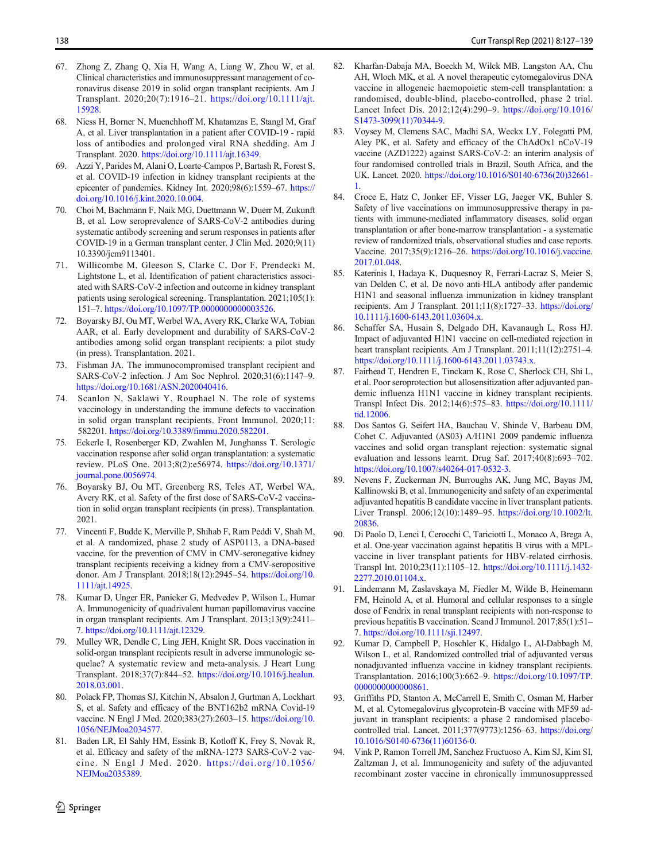- <span id="page-11-0"></span>67. Zhong Z, Zhang Q, Xia H, Wang A, Liang W, Zhou W, et al. Clinical characteristics and immunosuppressant management of coronavirus disease 2019 in solid organ transplant recipients. Am J Transplant. 2020;20(7):1916–21. [https://doi.org/10.1111/ajt.](https://doi.org/10.1111/ajt.15928) [15928.](https://doi.org/10.1111/ajt.15928)
- 68. Niess H, Borner N, Muenchhoff M, Khatamzas E, Stangl M, Graf A, et al. Liver transplantation in a patient after COVID-19 - rapid loss of antibodies and prolonged viral RNA shedding. Am J Transplant. 2020. [https://doi.org/10.1111/ajt.16349.](https://doi.org/10.1111/ajt.16349)
- 69. Azzi Y, Parides M, Alani O, Loarte-Campos P, Bartash R, Forest S, et al. COVID-19 infection in kidney transplant recipients at the epicenter of pandemics. Kidney Int. 2020;98(6):1559–67. [https://](https://doi.org/10.1016/j.kint.2020.10.004) [doi.org/10.1016/j.kint.2020.10.004.](https://doi.org/10.1016/j.kint.2020.10.004)
- 70. Choi M, Bachmann F, Naik MG, Duettmann W, Duerr M, Zukunft B, et al. Low seroprevalence of SARS-CoV-2 antibodies during systematic antibody screening and serum responses in patients after COVID-19 in a German transplant center. J Clin Med. 2020;9(11) 10.3390/jcm9113401.
- 71. Willicombe M, Gleeson S, Clarke C, Dor F, Prendecki M, Lightstone L, et al. Identification of patient characteristics associated with SARS-CoV-2 infection and outcome in kidney transplant patients using serological screening. Transplantation. 2021;105(1): 151–7. [https://doi.org/10.1097/TP.0000000000003526.](https://doi.org/10.1097/TP.0000000000003526)
- 72. Boyarsky BJ, Ou MT, Werbel WA, Avery RK, Clarke WA, Tobian AAR, et al. Early development and durability of SARS-CoV-2 antibodies among solid organ transplant recipients: a pilot study (in press). Transplantation. 2021.
- 73. Fishman JA. The immunocompromised transplant recipient and SARS-CoV-2 infection. J Am Soc Nephrol. 2020;31(6):1147–9. <https://doi.org/10.1681/ASN.2020040416>.
- 74. Scanlon N, Saklawi Y, Rouphael N. The role of systems vaccinology in understanding the immune defects to vaccination in solid organ transplant recipients. Front Immunol. 2020;11: 582201. [https://doi.org/10.3389/fimmu.2020.582201.](https://doi.org/10.3389/fimmu.2020.582201)
- 75. Eckerle I, Rosenberger KD, Zwahlen M, Junghanss T. Serologic vaccination response after solid organ transplantation: a systematic review. PLoS One. 2013;8(2):e56974. [https://doi.org/10.1371/](https://doi.org/10.1371/journal.pone.0056974) [journal.pone.0056974](https://doi.org/10.1371/journal.pone.0056974).
- 76. Boyarsky BJ, Ou MT, Greenberg RS, Teles AT, Werbel WA, Avery RK, et al. Safety of the first dose of SARS-CoV-2 vaccination in solid organ transplant recipients (in press). Transplantation. 2021.
- 77. Vincenti F, Budde K, Merville P, Shihab F, Ram Peddi V, Shah M, et al. A randomized, phase 2 study of ASP0113, a DNA-based vaccine, for the prevention of CMV in CMV-seronegative kidney transplant recipients receiving a kidney from a CMV-seropositive donor. Am J Transplant. 2018;18(12):2945–54. [https://doi.org/10.](https://doi.org/10.1111/ajt.14925) [1111/ajt.14925.](https://doi.org/10.1111/ajt.14925)
- 78. Kumar D, Unger ER, Panicker G, Medvedev P, Wilson L, Humar A. Immunogenicity of quadrivalent human papillomavirus vaccine in organ transplant recipients. Am J Transplant. 2013;13(9):2411– 7. <https://doi.org/10.1111/ajt.12329>.
- 79. Mulley WR, Dendle C, Ling JEH, Knight SR. Does vaccination in solid-organ transplant recipients result in adverse immunologic sequelae? A systematic review and meta-analysis. J Heart Lung Transplant. 2018;37(7):844–52. [https://doi.org/10.1016/j.healun.](https://doi.org/10.1016/j.healun.2018.03.001) [2018.03.001](https://doi.org/10.1016/j.healun.2018.03.001).
- 80. Polack FP, Thomas SJ, Kitchin N, Absalon J, Gurtman A, Lockhart S, et al. Safety and efficacy of the BNT162b2 mRNA Covid-19 vaccine. N Engl J Med. 2020;383(27):2603–15. [https://doi.org/10.](https://doi.org/10.1056/NEJMoa2034577) [1056/NEJMoa2034577](https://doi.org/10.1056/NEJMoa2034577).
- 81. Baden LR, El Sahly HM, Essink B, Kotloff K, Frey S, Novak R, et al. Efficacy and safety of the mRNA-1273 SARS-CoV-2 vaccine. N Engl J Med. 2020. [https://doi.org/10.1056/](https://doi.org/10.1056/NEJMoa2035389) [NEJMoa2035389](https://doi.org/10.1056/NEJMoa2035389).
- 82. Kharfan-Dabaja MA, Boeckh M, Wilck MB, Langston AA, Chu AH, Wloch MK, et al. A novel therapeutic cytomegalovirus DNA vaccine in allogeneic haemopoietic stem-cell transplantation: a randomised, double-blind, placebo-controlled, phase 2 trial. Lancet Infect Dis. 2012;12(4):290–9. [https://doi.org/10.1016/](https://doi.org/10.1016/S1473-3099(11)70344-9) [S1473-3099\(11\)70344-9](https://doi.org/10.1016/S1473-3099(11)70344-9).
- 83. Voysey M, Clemens SAC, Madhi SA, Weckx LY, Folegatti PM, Aley PK, et al. Safety and efficacy of the ChAdOx1 nCoV-19 vaccine (AZD1222) against SARS-CoV-2: an interim analysis of four randomised controlled trials in Brazil, South Africa, and the UK. Lancet. 2020. [https://doi.org/10.1016/S0140-6736\(20\)32661-](https://doi.org/10.1016/S0140-6736(20)32661-1) [1](https://doi.org/10.1016/S0140-6736(20)32661-1).
- 84. Croce E, Hatz C, Jonker EF, Visser LG, Jaeger VK, Buhler S. Safety of live vaccinations on immunosuppressive therapy in patients with immune-mediated inflammatory diseases, solid organ transplantation or after bone-marrow transplantation - a systematic review of randomized trials, observational studies and case reports. Vaccine. 2017;35(9):1216–26. [https://doi.org/10.1016/j.vaccine.](https://doi.org/10.1016/j.vaccine.2017.01.048) [2017.01.048.](https://doi.org/10.1016/j.vaccine.2017.01.048)
- 85. Katerinis I, Hadaya K, Duquesnoy R, Ferrari-Lacraz S, Meier S, van Delden C, et al. De novo anti-HLA antibody after pandemic H1N1 and seasonal influenza immunization in kidney transplant recipients. Am J Transplant. 2011;11(8):1727–33. [https://doi.org/](https://doi.org/10.1111/j.1600-6143.2011.03604.x) [10.1111/j.1600-6143.2011.03604.x.](https://doi.org/10.1111/j.1600-6143.2011.03604.x)
- 86. Schaffer SA, Husain S, Delgado DH, Kavanaugh L, Ross HJ. Impact of adjuvanted H1N1 vaccine on cell-mediated rejection in heart transplant recipients. Am J Transplant. 2011;11(12):2751–4. [https://doi.org/10.1111/j.1600-6143.2011.03743.x.](https://doi.org/10.1111/j.1600-6143.2011.03743.x)
- 87. Fairhead T, Hendren E, Tinckam K, Rose C, Sherlock CH, Shi L, et al. Poor seroprotection but allosensitization after adjuvanted pandemic influenza H1N1 vaccine in kidney transplant recipients. Transpl Infect Dis. 2012;14(6):575–83. [https://doi.org/10.1111/](https://doi.org/10.1111/tid.12006) [tid.12006](https://doi.org/10.1111/tid.12006).
- 88. Dos Santos G, Seifert HA, Bauchau V, Shinde V, Barbeau DM, Cohet C. Adjuvanted (AS03) A/H1N1 2009 pandemic influenza vaccines and solid organ transplant rejection: systematic signal evaluation and lessons learnt. Drug Saf. 2017;40(8):693–702. <https://doi.org/10.1007/s40264-017-0532-3>.
- 89. Nevens F, Zuckerman JN, Burroughs AK, Jung MC, Bayas JM, Kallinowski B, et al. Immunogenicity and safety of an experimental adjuvanted hepatitis B candidate vaccine in liver transplant patients. Liver Transpl. 2006;12(10):1489–95. [https://doi.org/10.1002/lt.](https://doi.org/10.1002/lt.20836) [20836.](https://doi.org/10.1002/lt.20836)
- 90. Di Paolo D, Lenci I, Cerocchi C, Tariciotti L, Monaco A, Brega A, et al. One-year vaccination against hepatitis B virus with a MPLvaccine in liver transplant patients for HBV-related cirrhosis. Transpl Int. 2010;23(11):1105–12. [https://doi.org/10.1111/j.1432-](https://doi.org/10.1111/j.1432-2277.2010.01104.x) [2277.2010.01104.x](https://doi.org/10.1111/j.1432-2277.2010.01104.x).
- 91. Lindemann M, Zaslavskaya M, Fiedler M, Wilde B, Heinemann FM, Heinold A, et al. Humoral and cellular responses to a single dose of Fendrix in renal transplant recipients with non-response to previous hepatitis B vaccination. Scand J Immunol. 2017;85(1):51– 7. [https://doi.org/10.1111/sji.12497.](https://doi.org/10.1111/sji.12497)
- 92. Kumar D, Campbell P, Hoschler K, Hidalgo L, Al-Dabbagh M, Wilson L, et al. Randomized controlled trial of adjuvanted versus nonadjuvanted influenza vaccine in kidney transplant recipients. Transplantation. 2016;100(3):662–9. [https://doi.org/10.1097/TP.](https://doi.org/10.1097/TP.0000000000000861) [0000000000000861](https://doi.org/10.1097/TP.0000000000000861).
- 93. Griffiths PD, Stanton A, McCarrell E, Smith C, Osman M, Harber M, et al. Cytomegalovirus glycoprotein-B vaccine with MF59 adjuvant in transplant recipients: a phase 2 randomised placebocontrolled trial. Lancet. 2011;377(9773):1256–63. [https://doi.org/](https://doi.org/10.1016/S0140-6736(11)60136-0) [10.1016/S0140-6736\(11\)60136-0.](https://doi.org/10.1016/S0140-6736(11)60136-0)
- 94. Vink P, Ramon Torrell JM, Sanchez Fructuoso A, Kim SJ, Kim SI, Zaltzman J, et al. Immunogenicity and safety of the adjuvanted recombinant zoster vaccine in chronically immunosuppressed